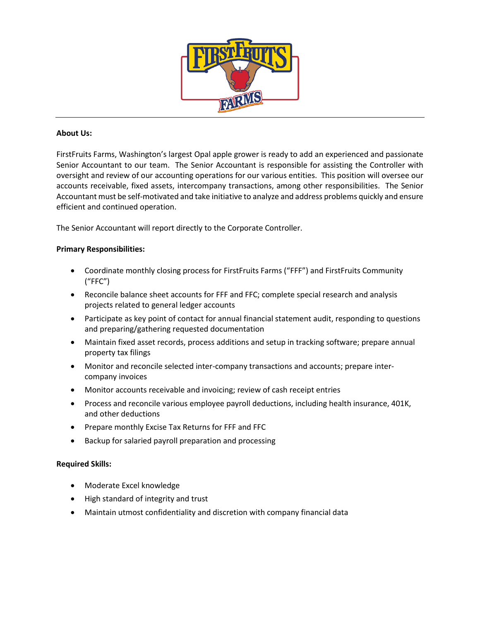

# **About Us:**

FirstFruits Farms, Washington's largest Opal apple grower is ready to add an experienced and passionate Senior Accountant to our team. The Senior Accountant is responsible for assisting the Controller with oversight and review of our accounting operations for our various entities. This position will oversee our accounts receivable, fixed assets, intercompany transactions, among other responsibilities. The Senior Accountant must be self-motivated and take initiative to analyze and address problems quickly and ensure efficient and continued operation.

The Senior Accountant will report directly to the Corporate Controller.

# **Primary Responsibilities:**

- Coordinate monthly closing process for FirstFruits Farms ("FFF") and FirstFruits Community ("FFC")
- Reconcile balance sheet accounts for FFF and FFC; complete special research and analysis projects related to general ledger accounts
- Participate as key point of contact for annual financial statement audit, responding to questions and preparing/gathering requested documentation
- Maintain fixed asset records, process additions and setup in tracking software; prepare annual property tax filings
- Monitor and reconcile selected inter-company transactions and accounts; prepare intercompany invoices
- Monitor accounts receivable and invoicing; review of cash receipt entries
- Process and reconcile various employee payroll deductions, including health insurance, 401K, and other deductions
- Prepare monthly Excise Tax Returns for FFF and FFC
- Backup for salaried payroll preparation and processing

### **Required Skills:**

- Moderate Excel knowledge
- High standard of integrity and trust
- Maintain utmost confidentiality and discretion with company financial data